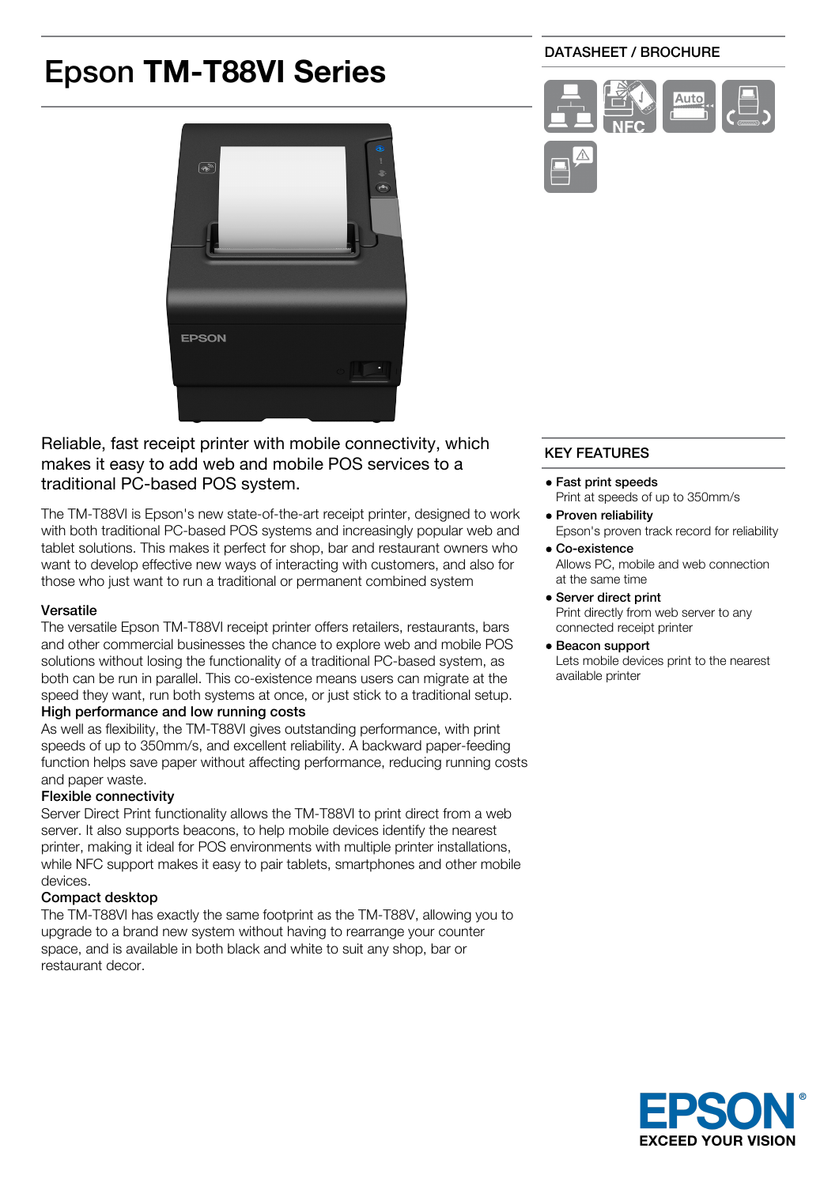# Epson **TM-T88VI Series**

# DATASHEET / BROCHURE





Reliable, fast receipt printer with mobile connectivity, which makes it easy to add web and mobile POS services to a traditional PC-based POS system.

The TM-T88VI is Epson's new state-of-the-art receipt printer, designed to work with both traditional PC-based POS systems and increasingly popular web and tablet solutions. This makes it perfect for shop, bar and restaurant owners who want to develop effective new ways of interacting with customers, and also for those who just want to run a traditional or permanent combined system

## Versatile

The versatile Epson TM-T88VI receipt printer offers retailers, restaurants, bars and other commercial businesses the chance to explore web and mobile POS solutions without losing the functionality of a traditional PC-based system, as both can be run in parallel. This co-existence means users can migrate at the speed they want, run both systems at once, or just stick to a traditional setup. High performance and low running costs

As well as flexibility, the TM-T88VI gives outstanding performance, with print speeds of up to 350mm/s, and excellent reliability. A backward paper-feeding function helps save paper without affecting performance, reducing running costs and paper waste.

# Flexible connectivity

Server Direct Print functionality allows the TM-T88VI to print direct from a web server. It also supports beacons, to help mobile devices identify the nearest printer, making it ideal for POS environments with multiple printer installations, while NFC support makes it easy to pair tablets, smartphones and other mobile devices.

# Compact desktop

The TM-T88VI has exactly the same footprint as the TM-T88V, allowing you to upgrade to a brand new system without having to rearrange your counter space, and is available in both black and white to suit any shop, bar or restaurant decor.

# KEY FEATURES

- Fast print speeds Print at speeds of up to 350mm/s
- Proven reliability Epson's proven track record for reliability
- Co-existence Allows PC, mobile and web connection at the same time

#### Server direct print Print directly from web server to any connected receipt printer

### Beacon support

Lets mobile devices print to the nearest available printer